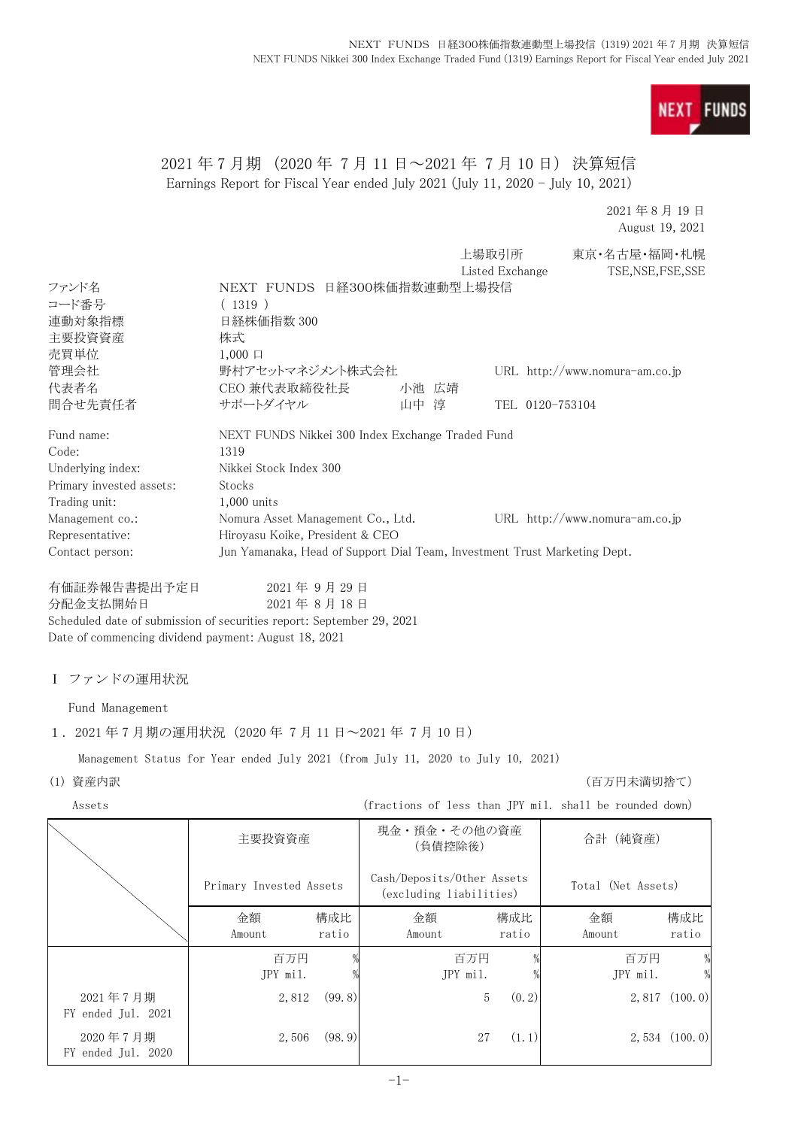

# 2021 年 7 月期 (2020 年 7 月 11 日~2021 年 7 月 10 日) 決算短信 Earnings Report for Fiscal Year ended July 2021 (July 11, 2020 - July 10, 2021)

2021 年 8 月 19 日 August 19, 2021

|                          |                                                                           |         | 上場取引所           | 東京・名古屋・福岡・札幌                     |
|--------------------------|---------------------------------------------------------------------------|---------|-----------------|----------------------------------|
|                          |                                                                           |         | Listed Exchange | TSE, NSE, FSE, SSE               |
| ファンド名                    | NEXT FUNDS 日経300株価指数連動型上場投信                                               |         |                 |                                  |
| コード番号                    | (1319)                                                                    |         |                 |                                  |
| 連動対象指標                   | 日経株価指数 300                                                                |         |                 |                                  |
| 主要投資資産                   | 株式                                                                        |         |                 |                                  |
| 売買単位                     | $1,000 \Box$                                                              |         |                 |                                  |
| 管理会社                     | 野村アセットマネジメント株式会社                                                          |         |                 | URL $http://www.nomura-am.co.jp$ |
| 代表者名                     | CEO 兼代表取締役社長                                                              | 小池 広靖   |                 |                                  |
| 問合せ先責任者                  | サポートダイヤル                                                                  | 淳<br>山中 | TEL 0120-753104 |                                  |
| Fund name:               | NEXT FUNDS Nikkei 300 Index Exchange Traded Fund                          |         |                 |                                  |
| Code:                    | 1319                                                                      |         |                 |                                  |
| Underlying index:        | Nikkei Stock Index 300                                                    |         |                 |                                  |
| Primary invested assets: | Stocks                                                                    |         |                 |                                  |
| Trading unit:            | $1,000$ units                                                             |         |                 |                                  |
| Management co.:          | Nomura Asset Management Co., Ltd.                                         |         |                 | URL $http://www.nomura-am.co.jp$ |
| Representative:          | Hiroyasu Koike, President & CEO                                           |         |                 |                                  |
| Contact person:          | Jun Yamanaka, Head of Support Dial Team, Investment Trust Marketing Dept. |         |                 |                                  |
| 有価証券報告書提出予定日             | 2021年9月29日                                                                |         |                 |                                  |

分配金支払開始日 2021 年 8 月 18 日 Scheduled date of submission of securities report: September 29, 2021 Date of commencing dividend payment: August 18, 2021

Ⅰ ファンドの運用状況

Fund Management

1.2021 年 7 月期の運用状況(2020 年 7 月 11 日~2021 年 7 月 10 日)

Management Status for Year ended July 2021 (from July 11, 2020 to July 10, 2021)

(1) 資産内訳 (百万円未満切捨て)

Assets (fractions of less than JPY mil. shall be rounded down)

|                                | 主要投資資産                  |              | 現金・預金・その他の資産<br>(負債控除後)                               |              | 合計 (純資産)           |                   |
|--------------------------------|-------------------------|--------------|-------------------------------------------------------|--------------|--------------------|-------------------|
|                                | Primary Invested Assets |              | Cash/Deposits/Other Assets<br>(excluding liabilities) |              | Total (Net Assets) |                   |
|                                | 金額<br>Amount            | 構成比<br>ratio | 金額<br>Amount                                          | 構成比<br>ratio | 金額<br>Amount       | 構成比<br>ratio      |
|                                | 百万円<br>JPY mil.         |              | 百万円<br>JPY mil.                                       |              | 百万円<br>JPY mil.    | %                 |
| 2021年7月期<br>FY ended Jul. 2021 | 2,812                   | (99.8)       |                                                       | 5<br>(0, 2)  |                    | 2,817(100.0)      |
| 2020年7月期<br>FY ended Jul. 2020 | 2,506                   | (98.9)       | 27                                                    | (1.1)        |                    | $2,534$ $(100.0)$ |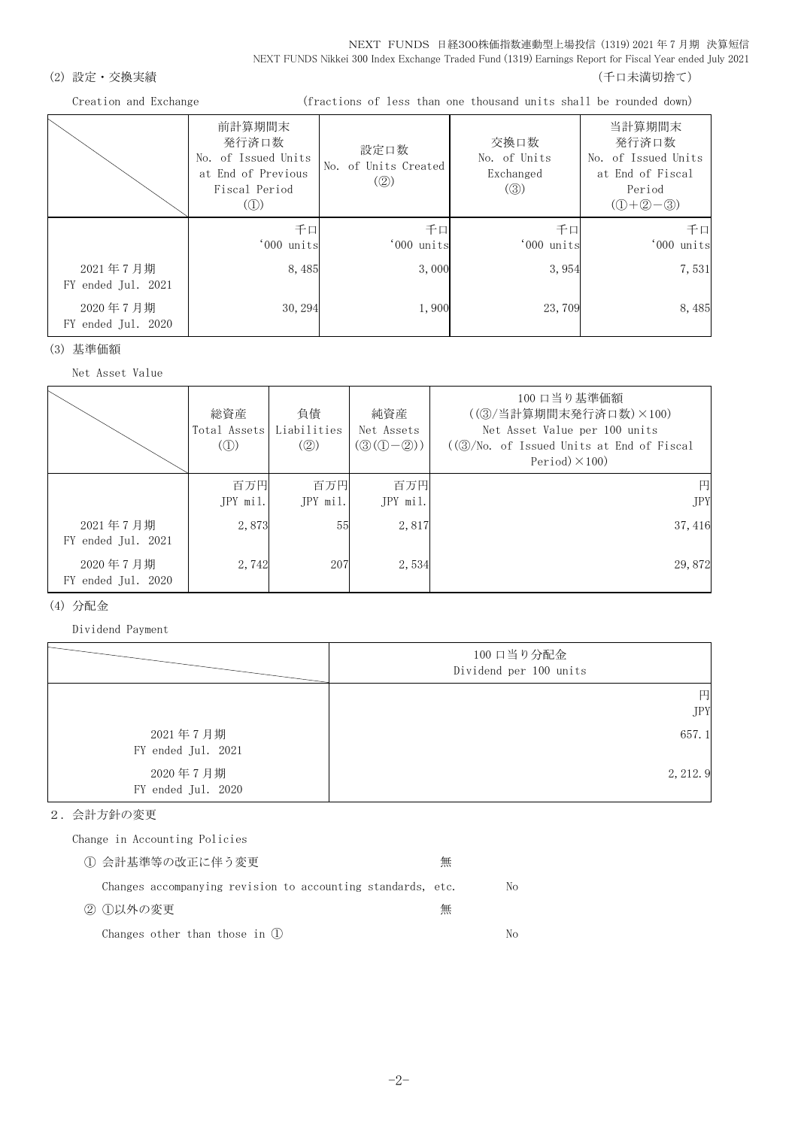### (2) 設定・交換実績 (2) またまま (1) これまでは こころには こうしょう にっぽん (千口未満切捨て)

Creation and Exchange (fractions of less than one thousand units shall be rounded down)

|                                | 前計算期間末<br>発行済口数<br>No. of Issued Units<br>at End of Previous<br>Fiscal Period<br>$\left( \textcircled{1}\right)$ | 設定口数<br>No. of Units Created<br>(Q) | 交換口数<br>No. of Units<br>Exchanged<br>(③) | 当計算期間末<br>発行済口数<br>No. of Issued Units<br>at End of Fiscal<br>Period<br>$(D+2-3)$ |
|--------------------------------|------------------------------------------------------------------------------------------------------------------|-------------------------------------|------------------------------------------|-----------------------------------------------------------------------------------|
|                                | 千口<br>'000 units                                                                                                 | 千口<br>'000 units                    | 千口<br>'000 units                         | 千口<br>'000 units                                                                  |
| 2021年7月期<br>FY ended Jul. 2021 | 8,485                                                                                                            | 3,000                               | 3,954                                    | 7,531                                                                             |
| 2020年7月期<br>FY ended Jul. 2020 | 30, 294                                                                                                          | 1,900                               | 23,709                                   | 8,485                                                                             |

(3) 基準価額

Net Asset Value

|                                | 総資産<br>Total Assets Liabilities<br>$\mathcal{L}(\mathbb{D})$ | 負債<br>$\left( \circled{2} \right)$ | 純資産<br>Net Assets<br>$(③(①-②))$ | 100 口当り基準価額<br>((3) 当計算期間末発行済口数) ×100)<br>Net Asset Value per 100 units<br>$((\textcircled{3}/\text{No. of } I$ ssued Units at End of Fiscal<br>Period $)\times$ 100) |
|--------------------------------|--------------------------------------------------------------|------------------------------------|---------------------------------|-----------------------------------------------------------------------------------------------------------------------------------------------------------------------|
|                                | 百万円<br>JPY mil.                                              | 百万円<br>$JPY$ mil.                  | 百万円<br>JPY mil.                 | 円<br><b>JPY</b>                                                                                                                                                       |
| 2021年7月期<br>FY ended Jul. 2021 | 2,873                                                        | 55                                 | 2,817                           | 37, 416                                                                                                                                                               |
| 2020年7月期<br>FY ended Jul. 2020 | 2,742                                                        | 207                                | 2,534                           | 29,872                                                                                                                                                                |

### (4) 分配金

Dividend Payment

|                                | 100 口当り分配金<br>Dividend per 100 units |
|--------------------------------|--------------------------------------|
|                                | 円<br><b>JPY</b>                      |
| 2021年7月期<br>FY ended Jul. 2021 | 657.1                                |
| 2020年7月期<br>FY ended Jul. 2020 | 2, 212.9                             |

### 2.会計方針の変更

Change in Accounting Policies

| ① 会計基準等の改正に伴う変更                                             | 無 |    |
|-------------------------------------------------------------|---|----|
| Changes accompanying revision to accounting standards, etc. |   | No |
| ② ①以外の変更                                                    | 無 |    |
| Changes other than those in $(l)$                           |   | Nο |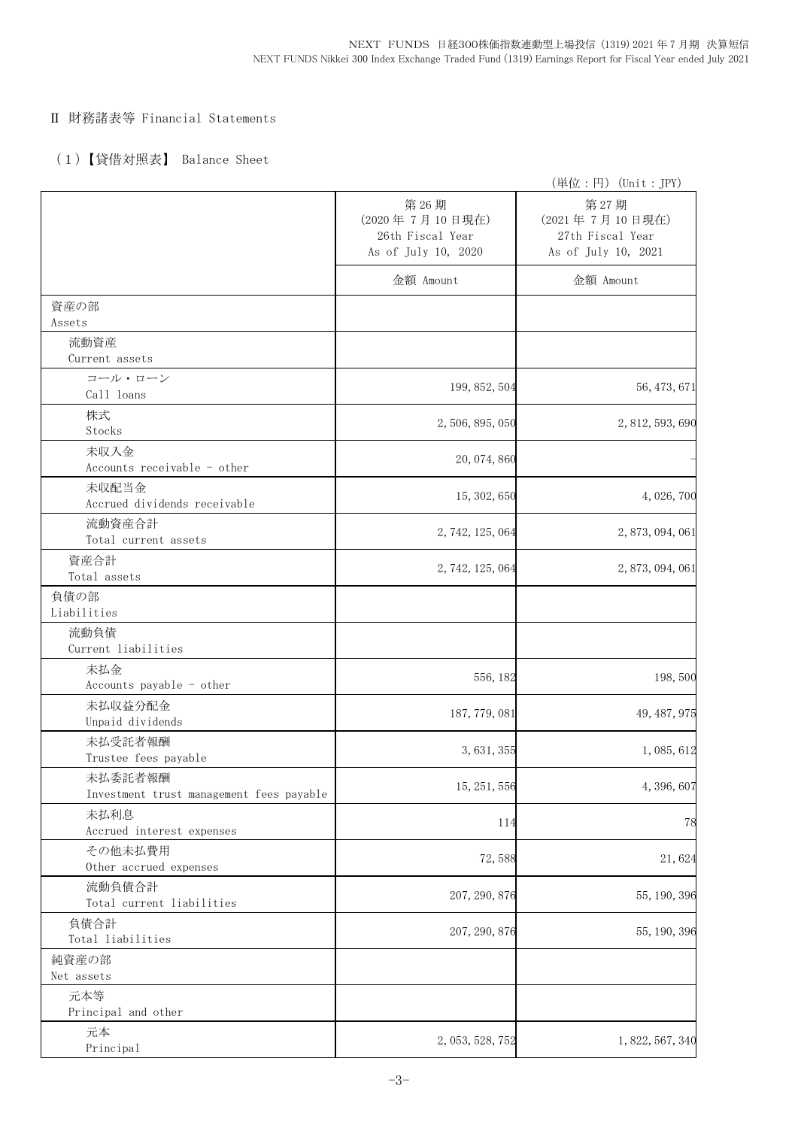## Ⅱ 財務諸表等 Financial Statements

# (1)【貸借対照表】 Balance Sheet

|                                                     |                                                                   | (単位:円) (Unit:JPY)                                                 |
|-----------------------------------------------------|-------------------------------------------------------------------|-------------------------------------------------------------------|
|                                                     | 第26期<br>(2020年7月10日現在)<br>26th Fiscal Year<br>As of July 10, 2020 | 第27期<br>(2021年7月10日現在)<br>27th Fiscal Year<br>As of July 10, 2021 |
|                                                     | 金額 Amount                                                         | 金額 Amount                                                         |
| 資産の部<br>Assets                                      |                                                                   |                                                                   |
| 流動資産<br>Current assets                              |                                                                   |                                                                   |
| コール・ローン<br>Call loans                               | 199, 852, 504                                                     | 56, 473, 671                                                      |
| 株式<br>Stocks                                        | 2, 506, 895, 050                                                  | 2, 812, 593, 690                                                  |
| 未収入金<br>Accounts receivable - other                 | 20, 074, 860                                                      |                                                                   |
| 未収配当金<br>Accrued dividends receivable               | 15, 302, 650                                                      | 4, 026, 700                                                       |
| 流動資産合計<br>Total current assets                      | 2, 742, 125, 064                                                  | 2, 873, 094, 061                                                  |
| 資産合計<br>Total assets                                | 2, 742, 125, 064                                                  | 2, 873, 094, 061                                                  |
| 負債の部<br>Liabilities                                 |                                                                   |                                                                   |
| 流動負債<br>Current liabilities                         |                                                                   |                                                                   |
| 未払金<br>Accounts payable - other                     | 556, 182                                                          | 198,500                                                           |
| 未払収益分配金<br>Unpaid dividends                         | 187, 779, 081                                                     | 49, 487, 975                                                      |
| 未払受託者報酬<br>Trustee fees payable                     | 3, 631, 355                                                       | 1,085,612                                                         |
| 未払委託者報酬<br>Investment trust management fees payable | 15, 251, 556                                                      | 4, 396, 607                                                       |
| 未払利息<br>Accrued interest expenses                   | 114                                                               | 78                                                                |
| その他未払費用<br>Other accrued expenses                   | 72,588                                                            | 21,624                                                            |
| 流動負債合計<br>Total current liabilities                 | 207, 290, 876                                                     | 55, 190, 396                                                      |
| 負債合計<br>Total liabilities                           | 207, 290, 876                                                     | 55, 190, 396                                                      |
| 純資産の部<br>Net assets                                 |                                                                   |                                                                   |
| 元本等<br>Principal and other                          |                                                                   |                                                                   |
| 元本<br>Principal                                     | 2, 053, 528, 752                                                  | 1, 822, 567, 340                                                  |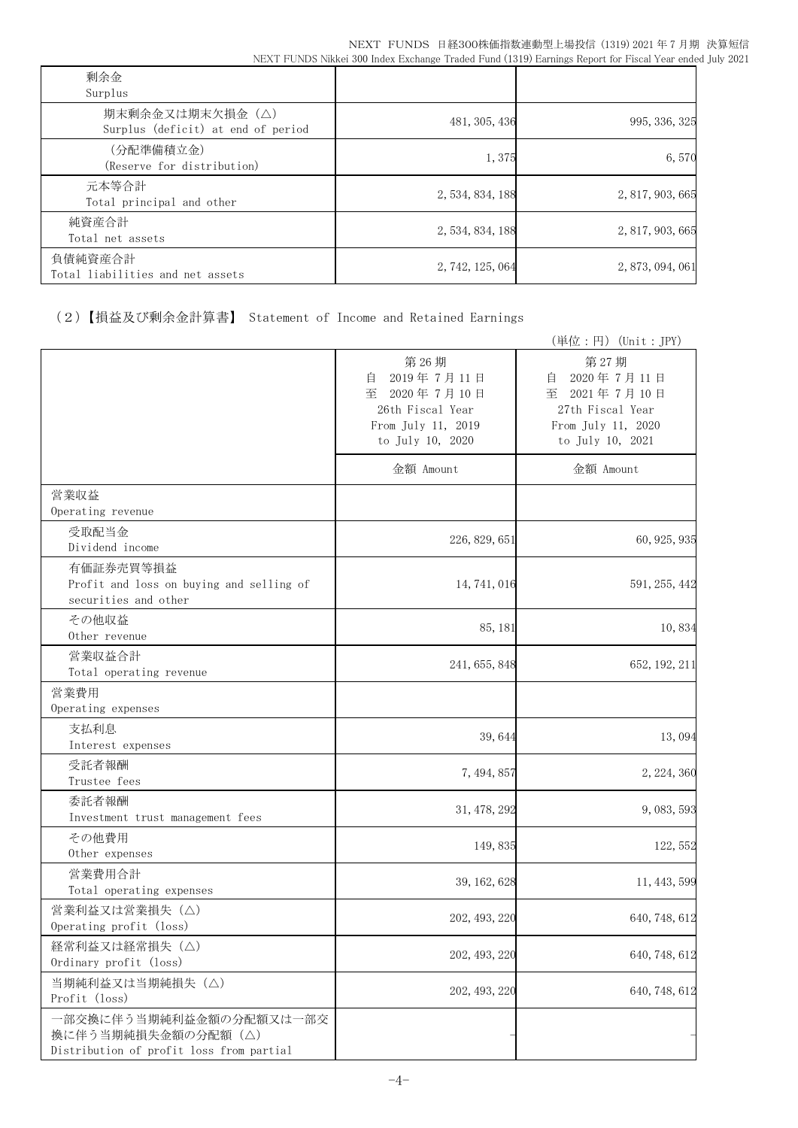| 剰余金<br>Surplus                                        |                  |                  |
|-------------------------------------------------------|------------------|------------------|
| 期末剰余金又は期末欠損金(△)<br>Surplus (deficit) at end of period | 481, 305, 436    | 995, 336, 325    |
| (分配準備積立金)<br>(Reserve for distribution)               | 1,375            | 6,570            |
| 元本等合計<br>Total principal and other                    | 2, 534, 834, 188 | 2, 817, 903, 665 |
| 純資産合計<br>Total net assets                             | 2, 534, 834, 188 | 2, 817, 903, 665 |
| 負債純資産合計<br>Total liabilities and net assets           | 2, 742, 125, 064 | 2, 873, 094, 061 |

(2)【損益及び剰余金計算書】 Statement of Income and Retained Earnings

|                                                                                           |                                                                                                          | (単位:円) (Unit: JPY)                                                                                       |
|-------------------------------------------------------------------------------------------|----------------------------------------------------------------------------------------------------------|----------------------------------------------------------------------------------------------------------|
|                                                                                           | 第26期<br>2019年7月11日<br>自<br>2020年7月10日<br>至<br>26th Fiscal Year<br>From July 11, 2019<br>to July 10, 2020 | 第27期<br>2020年7月11日<br>目<br>至<br>2021年7月10日<br>27th Fiscal Year<br>From July 11, 2020<br>to July 10, 2021 |
|                                                                                           | 金額 Amount                                                                                                | 金額 Amount                                                                                                |
| 営業収益<br>Operating revenue                                                                 |                                                                                                          |                                                                                                          |
| 受取配当金<br>Dividend income                                                                  | 226, 829, 651                                                                                            | 60, 925, 935                                                                                             |
| 有価証券売買等損益<br>Profit and loss on buying and selling of<br>securities and other             | 14, 741, 016                                                                                             | 591, 255, 442                                                                                            |
| その他収益<br>Other revenue                                                                    | 85, 181                                                                                                  | 10,834                                                                                                   |
| 営業収益合計<br>Total operating revenue                                                         | 241, 655, 848                                                                                            | 652, 192, 211                                                                                            |
| 営業費用<br>Operating expenses                                                                |                                                                                                          |                                                                                                          |
| 支払利息<br>Interest expenses                                                                 | 39,644                                                                                                   | 13,094                                                                                                   |
| 受託者報酬<br>Trustee fees                                                                     | 7, 494, 857                                                                                              | 2, 224, 360                                                                                              |
| 委託者報酬<br>Investment trust management fees                                                 | 31, 478, 292                                                                                             | 9, 083, 593                                                                                              |
| その他費用<br>Other expenses                                                                   | 149,835                                                                                                  | 122, 552                                                                                                 |
| 営業費用合計<br>Total operating expenses                                                        | 39, 162, 628                                                                                             | 11, 443, 599                                                                                             |
| 営業利益又は営業損失(△)<br>Operating profit (loss)                                                  | 202, 493, 220                                                                                            | 640, 748, 612                                                                                            |
| 経常利益又は経常損失 (△)<br>Ordinary profit (loss)                                                  | 202, 493, 220                                                                                            | 640, 748, 612                                                                                            |
| 当期純利益又は当期純損失 (△)<br>Profit (loss)                                                         | 202, 493, 220                                                                                            | 640, 748, 612                                                                                            |
| 一部交換に伴う当期純利益金額の分配額又は一部交<br>換に伴う当期純損失金額の分配額(△)<br>Distribution of profit loss from partial |                                                                                                          |                                                                                                          |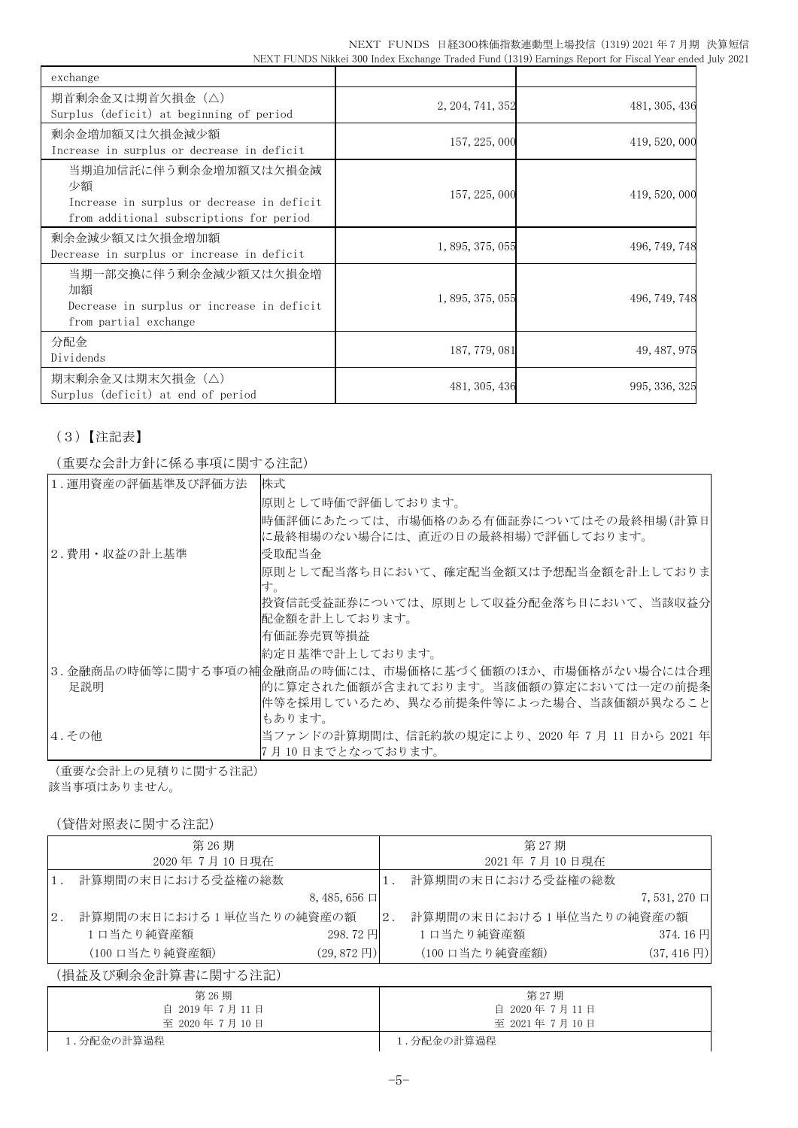|  | NEXT FUNDS 日経300株価指数連動型上場投信 (1319) 2021 年 7 月期 決算短信                                                     |  |
|--|---------------------------------------------------------------------------------------------------------|--|
|  | NEXT FUNDS Nikkei 300 Index Exchange Traded Fund (1319) Earnings Report for Fiscal Year ended July 2021 |  |

| exchange                                                                                                              |                  |               |
|-----------------------------------------------------------------------------------------------------------------------|------------------|---------------|
| 期首剰余金又は期首欠損金(△)<br>Surplus (deficit) at beginning of period                                                           | 2, 204, 741, 352 | 481, 305, 436 |
| 剰余金増加額又は欠損金減少額<br>Increase in surplus or decrease in deficit                                                          | 157, 225, 000    | 419, 520, 000 |
| 当期追加信託に伴う剰余金増加額又は欠損金減<br>少額<br>Increase in surplus or decrease in deficit<br>from additional subscriptions for period | 157, 225, 000    | 419, 520, 000 |
| 剰余金減少額又は欠損金増加額<br>Decrease in surplus or increase in deficit                                                          | 1, 895, 375, 055 | 496, 749, 748 |
| 当期一部交換に伴う剰余金減少額又は欠損金増<br>加額<br>Decrease in surplus or increase in deficit<br>from partial exchange                    | 1, 895, 375, 055 | 496, 749, 748 |
| 分配金<br>Dividends                                                                                                      | 187, 779, 081    | 49, 487, 975  |
| 期末剰余金又は期末欠損金(△)<br>Surplus (deficit) at end of period                                                                 | 481, 305, 436    | 995, 336, 325 |

# (3)【注記表】

(重要な会計方針に係る事項に関する注記)

| 1. 運用資産の評価基準及び評価方法 | 株式                                                                           |
|--------------------|------------------------------------------------------------------------------|
|                    | 原則として時価で評価しております。                                                            |
|                    | 時価評価にあたっては、市場価格のある有価証券についてはその最終相場(計算日 <br> に最終相場のない場合には、直近の日の最終相場)で評価しております。 |
| 2.費用・収益の計上基準       | 受取配当金                                                                        |
|                    | 原則として配当落ち日において、確定配当金額又は予想配当金額を計上しておりま                                        |
|                    | す。                                                                           |
|                    | 投資信託受益証券については、原則として収益分配金落ち日において、当該収益分                                        |
|                    | 配金額を計上しております。                                                                |
|                    | 有価証券売買等損益                                                                    |
|                    | 約定日基準で計上しております。                                                              |
|                    | 3.金融商品の時価等に関する事項の補金融商品の時価には、市場価格に基づく価額のほか、市場価格がない場合には合理                      |
| 足説明                | 的に算定された価額が含まれております。当該価額の算定においては一定の前提条                                        |
|                    | 件等を採用しているため、異なる前提条件等によった場合、当該価額が異なること                                        |
|                    | もあります。                                                                       |
| 4.その他              | 当ファンドの計算期間は、信託約款の規定により、2020 年 7 月 11 日から 2021 年                              |
|                    | 7 月 10 日までとなっております。                                                          |

(重要な会計上の見積りに関する注記) 該当事項はありません。

## (貸借対照表に関する注記)

|     | 第 26 期                  |                       |       | 第 27 期                  |                        |
|-----|-------------------------|-----------------------|-------|-------------------------|------------------------|
|     | 2020年7月10日現在            |                       |       | 2021年7月10日現在            |                        |
|     | 計算期間の末日における受益権の総数       |                       |       | 計算期間の末日における受益権の総数       |                        |
|     |                         | $8,485,656$ $\Box$    |       |                         | $7,531,270$ $\Box$     |
| 12. | 計算期間の末日における1単位当たりの純資産の額 |                       | $2$ . | 計算期間の末日における1単位当たりの純資産の額 |                        |
|     | 1口当たり純資産額               | 298.72円               |       | 1口当たり純資産額               | 374.16円                |
|     | (100 口当たり純資産額)          | $(29, 872 \text{ H})$ |       | (100 口当たり純資産額)          | $(37, 416 \,\boxplus)$ |

(損益及び剰余金計算書に関する注記)

| 第 26 期<br>自 2019年7月11日 | 第 27 期<br>自 2020年7月11日 |
|------------------------|------------------------|
| 至 2020年7月10日           | 至 2021年7月10日           |
| 1.分配金の計算過程             | 1.分配金の計算過程             |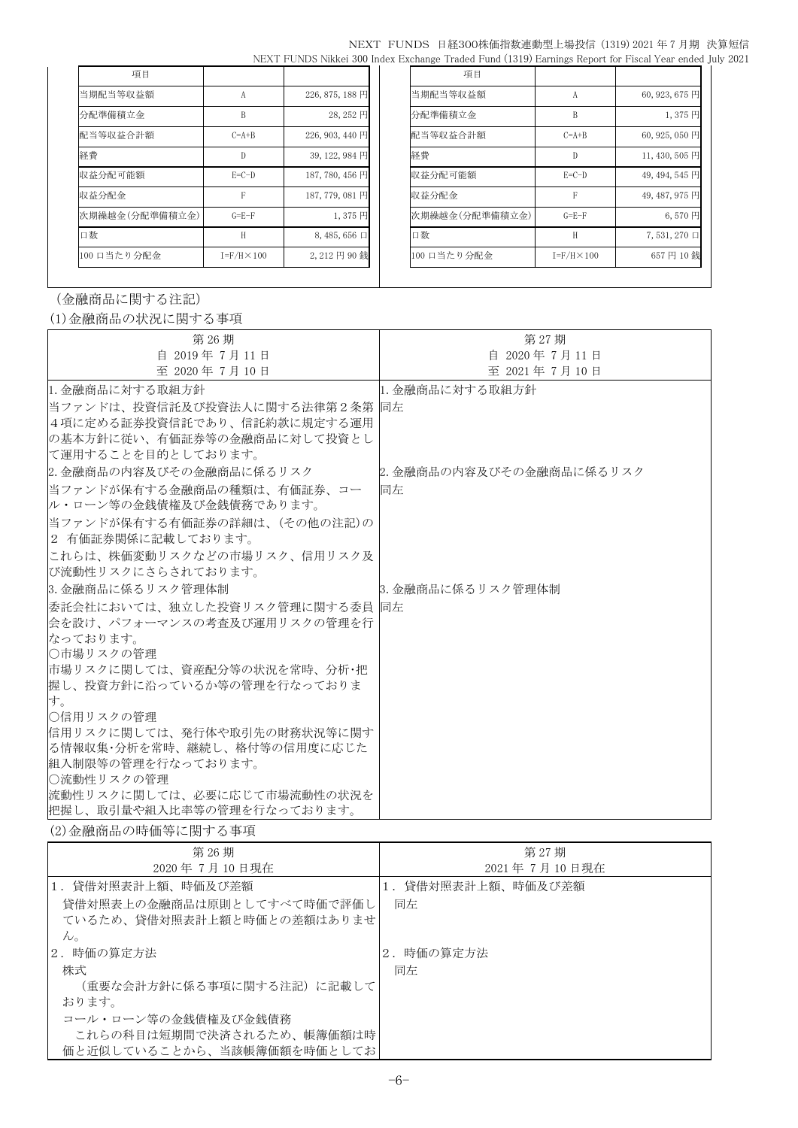|  | NEXT FUNDS 日経300株価指数連動型上場投信 (1319) 2021 年 7 月期 決算短信                                                     |  |
|--|---------------------------------------------------------------------------------------------------------|--|
|  | NEXT FUNDS Nikkei 300 Index Exchange Traded Fund (1319) Earnings Report for Fiscal Year ended July 2021 |  |

| 項目             |                      |                  | 項目             |                      |                    |
|----------------|----------------------|------------------|----------------|----------------------|--------------------|
| 当期配当等収益額       | А                    | 226, 875, 188 円  | 当期配当等収益額       | А                    | 60, 923, 675 円     |
| 分配準備積立金        | B                    | 28,252円          | 分配準備積立金        | B                    | 1,375円             |
| 配当等収益合計額       | $C=A+B$              | 226, 903, 440 円  | 配当等収益合計額       | $C=A+B$              | 60, 925, 050 円     |
| 経費             | D                    | $39, 122, 984$ 円 | 経費             | D                    | 11, 430, 505 円     |
| 収益分配可能額        | $E=C-D$              | 187, 780, 456 円  | 収益分配可能額        | $E=C-D$              | 49, 494, 545 円     |
| 収益分配金          | F                    | 187, 779, 081 円  | 収益分配金          | F                    | 49, 487, 975 円     |
| 次期繰越金(分配準備積立金) | $G = E - F$          | 1,375円           | 次期繰越金(分配準備積立金) | $G = E - F$          | $6,570$ 円          |
| 口数             | H                    | $8,485,656 \Box$ | 口数             | H                    | $7,531,270$ $\Box$ |
| 100 口当たり分配金    | $I = F/H \times 100$ | 2,212円90銭        | 100 口当たり分配金    | $I = F/H \times 100$ | 657円10銭            |

## (金融商品に関する注記)

(1)金融商品の状況に関する事項

| 第 26 期                                              | 第 27期                    |
|-----------------------------------------------------|--------------------------|
| 自 2019年7月11日                                        | 自 2020年7月11日             |
| 至 2020年7月10日                                        | 至 2021年7月10日             |
| 11. 金融商品に対する取組方針                                    | 1. 金融商品に対する取組方針          |
| 当ファンドは、投資信託及び投資法人に関する法律第2条第  同左                     |                          |
| 4項に定める証券投資信託であり、信託約款に規定する運用                         |                          |
| の基本方針に従い、有価証券等の金融商品に対して投資とし                         |                          |
| に運用することを目的としております。                                  |                          |
| 2. 金融商品の内容及びその金融商品に係るリスク                            | 2. 金融商品の内容及びその金融商品に係るリスク |
| 当ファンドが保有する金融商品の種類は、有価証券、コー                          | 同左                       |
| ル・ローン等の金銭債権及び金銭債務であります。                             |                          |
| 当ファンドが保有する有価証券の詳細は、(その他の注記)の                        |                          |
| 2 有価証券関係に記載しております。                                  |                          |
| これらは、株価変動リスクなどの市場リスク、信用リスク及                         |                          |
| び流動性リスクにさらされております。                                  |                          |
| 3. 金融商品に係るリスク管理体制                                   | 8. 金融商品に係るリスク管理体制        |
| 委託会社においては、独立した投資リスク管理に関する委員   同左                    |                          |
| 会を設け、パフォーマンスの考査及び運用リスクの管理を行                         |                          |
| なっております。                                            |                          |
| ○市場リスクの管理                                           |                          |
| 市場リスクに関しては、資産配分等の状況を常時、分析・把                         |                          |
| 握し、投資方針に沿っているか等の管理を行なっておりま                          |                          |
| す。                                                  |                          |
| ○信用リスクの管理                                           |                          |
| 信用リスクに関しては、発行体や取引先の財務状況等に関す                         |                          |
| る情報収集・分析を常時、継続し、格付等の信用度に応じた <br> 組入制限等の管理を行なっております。 |                          |
| ○流動性リスクの管理                                          |                          |
| 流動性リスクに関しては、必要に応じて市場流動性の状況を                         |                          |
| 把握し、取引量や組入比率等の管理を行なっております。                          |                          |

(2)金融商品の時価等に関する事項

| 第 26 期<br>2020年7月10日現在                                                                                     | 第 27期<br>2021年7月10日現在   |
|------------------------------------------------------------------------------------------------------------|-------------------------|
| 1.貸借対照表計上額、時価及び差額<br> 貸借対照表上の金融商品は原則としてすべて時価で評価し <br>ているため、貸借対照表計上額と時価との差額はありませ <br>$\mathcal{W}_{\alpha}$ | 1.貸借対照表計上額、時価及び差額<br>同左 |
| 2. 時価の算定方法<br>株式<br>(重要な会計方針に係る事項に関する注記)に記載して <br>おります。                                                    | 2. 時価の算定方法<br>同左        |
| コール・ローン等の金銭債権及び金銭債務<br>これらの科目は短期間で決済されるため、帳簿価額は時<br>価と近似していることから、当該帳簿価額を時価としてお                             |                         |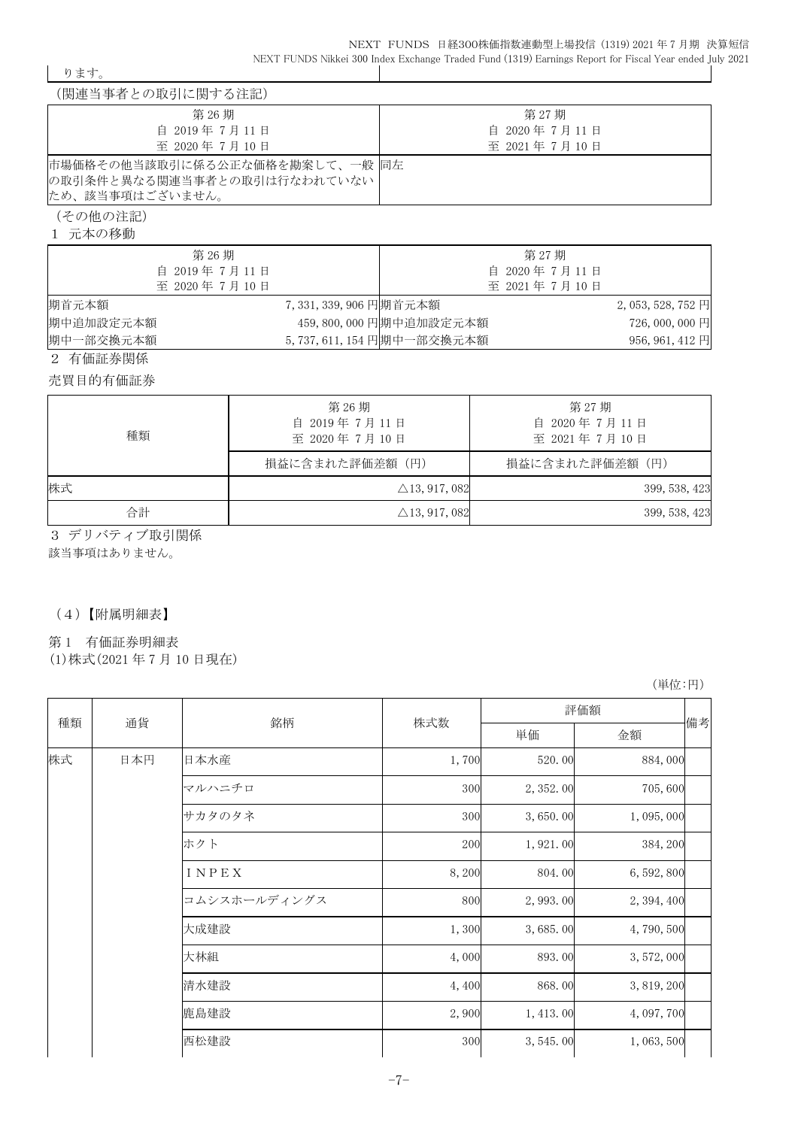ります。

| (関連当事者との取引に関する注記)                                             |              |
|---------------------------------------------------------------|--------------|
| 第 26 期                                                        | 第 27 期       |
| 自 2019年7月11日                                                  | 自 2020年7月11日 |
| 至 2020年7月10日                                                  | 至 2021年7月10日 |
| 市場価格その他当該取引に係る公正な価格を勘案して、一般 同左<br>の取引条件と異なる関連当事者との取引は行なわれていない |              |
| ため、該当事項はございません。                                               |              |

(その他の注記)

1 元本の移動

| 第 26 期                                           |                         |                          | 第 27 期       |                   |
|--------------------------------------------------|-------------------------|--------------------------|--------------|-------------------|
| 自 2019年7月11日                                     |                         |                          | 自 2020年7月11日 |                   |
| 至 2020年7月10日                                     |                         |                          | 至 2021年7月10日 |                   |
| 期首元本額                                            | 7, 331, 339, 906 円期首元本額 |                          |              | $2,053,528,752$ 円 |
| 期中追加設定元本額                                        |                         | 459, 800, 000 円期中追加設定元本額 |              | 726,000,000円      |
| 期中一部交換元本額                                        |                         | 5,737,611,154円期中一部交換元本額  |              | 956, 961, 412 円   |
| $\sim$ $\sim$ $\sim$ $\sim$ $\sim$ $\sim$ $\sim$ |                         |                          |              |                   |

2 有価証券関係

売買目的有価証券

| 種類 | 第 26 期<br>自 2019年7月11日<br>至 2020年7月10日 | 第 27期<br>自 2020年7月11日<br>至 2021年7月10日 |  |
|----|----------------------------------------|---------------------------------------|--|
|    | 損益に含まれた評価差額(円)                         | 損益に含まれた評価差額(円)                        |  |
| 株式 | $\triangle$ 13, 917, 082               | 399, 538, 423                         |  |
| 合計 | $\triangle$ 13, 917, 082               | 399, 538, 423                         |  |

3 デリバティブ取引関係

該当事項はありません。

# (4)【附属明細表】

第 1 有価証券明細表

(1)株式(2021 年 7 月 10 日現在)

(単位:円)

|          |     |              |       | 評価額       |             |  |
|----------|-----|--------------|-------|-----------|-------------|--|
| 種類<br>通貨 | 銘柄  | 株式数          | 単価    | 金額        | 備考          |  |
| 株式       | 日本円 | 日本水産         | 1,700 | 520.00    | 884,000     |  |
|          |     | マルハニチロ       | 300   | 2, 352.00 | 705,600     |  |
|          |     | サカタのタネ       | 300   | 3,650.00  | 1,095,000   |  |
|          |     | ホクト          | 200   | 1,921.00  | 384, 200    |  |
|          |     | INPEX        | 8,200 | 804.00    | 6, 592, 800 |  |
|          |     | コムシスホールディングス | 800   | 2, 993.00 | 2, 394, 400 |  |
|          |     | 大成建設         | 1,300 | 3,685.00  | 4,790,500   |  |
|          |     | 大林組          | 4,000 | 893.00    | 3,572,000   |  |
|          |     | 清水建設         | 4,400 | 868.00    | 3, 819, 200 |  |
|          |     | 鹿島建設         | 2,900 | 1, 413.00 | 4, 097, 700 |  |
|          |     | 西松建設         | 300   | 3,545.00  | 1,063,500   |  |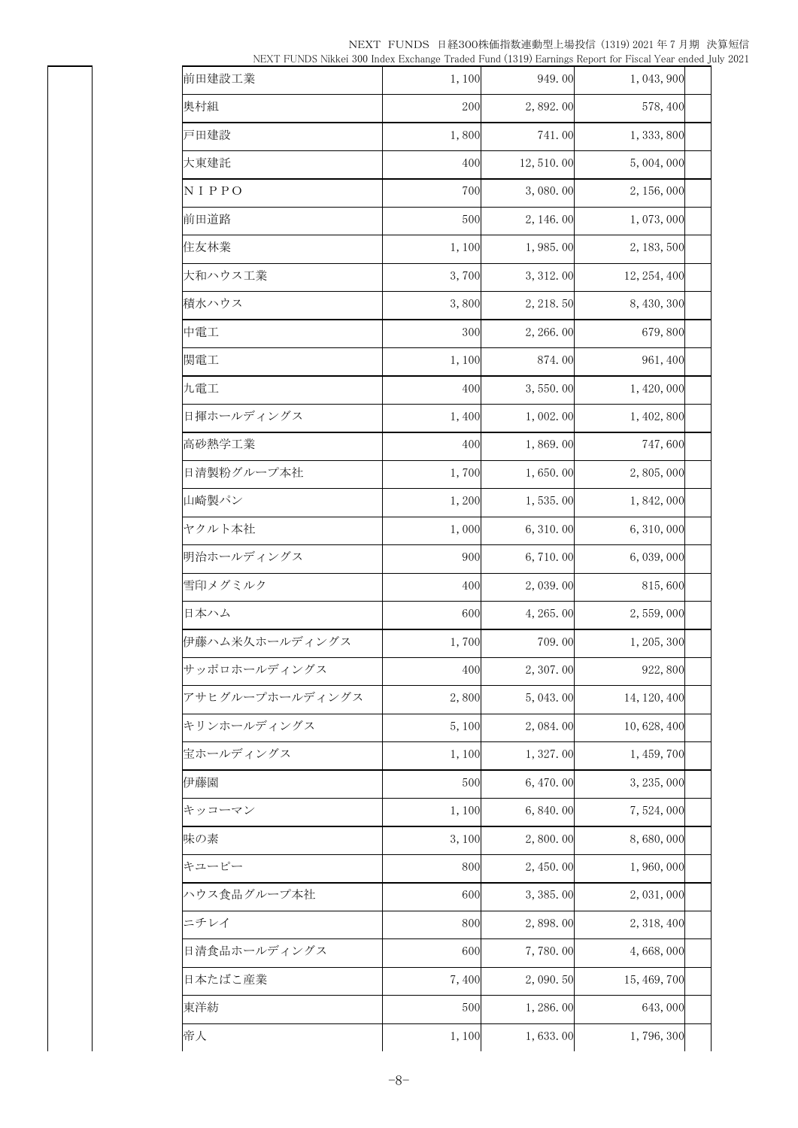| 前田建設工業          | 1,100 | 949.00     | 1, 043, 900  |
|-----------------|-------|------------|--------------|
| 奥村組             | 200   | 2,892.00   | 578, 400     |
| 戸田建設            | 1,800 | 741.00     | 1, 333, 800  |
| 大東建託            | 400   | 12, 510.00 | 5,004,000    |
| NIPPO           | 700   | 3,080.00   | 2, 156, 000  |
| 前田道路            | 500   | 2, 146.00  | 1,073,000    |
| 住友林業            | 1,100 | 1,985.00   | 2, 183, 500  |
| 大和ハウス工業         | 3,700 | 3, 312.00  | 12, 254, 400 |
| 積水ハウス           | 3,800 | 2, 218.50  | 8, 430, 300  |
| 中電工             | 300   | 2, 266.00  | 679,800      |
| 関電工             | 1,100 | 874.00     | 961, 400     |
| 九電工             | 400   | 3,550.00   | 1, 420, 000  |
| 日揮ホールディングス      | 1,400 | 1,002.00   | 1, 402, 800  |
| 高砂熱学工業          | 400   | 1,869.00   | 747,600      |
| 日清製粉グループ本社      | 1,700 | 1,650.00   | 2,805,000    |
| 山崎製パン           | 1,200 | 1,535.00   | 1, 842, 000  |
| ヤクルト本社          | 1,000 | 6, 310.00  | 6, 310, 000  |
| 明治ホールディングス      | 900   | 6,710.00   | 6, 039, 000  |
| 雪印メグミルク         | 400   | 2,039.00   | 815,600      |
| 日本ハム            | 600   | 4, 265. 00 | 2,559,000    |
| 伊藤ハム米久ホールディングス  | 1,700 | 709.00     | 1, 205, 300  |
| サッポロホールディングス    | 400   | 2, 307.00  | 922,800      |
| アサヒグループホールディングス | 2,800 | 5, 043.00  | 14, 120, 400 |
| キリンホールディングス     | 5,100 | 2,084.00   | 10, 628, 400 |
| 宝ホールディングス       | 1,100 | 1,327.00   | 1, 459, 700  |
| 伊藤園             | 500   | 6,470.00   | 3, 235, 000  |
| キッコーマン          | 1,100 | 6, 840.00  | 7,524,000    |
| 味の素             | 3,100 | 2,800.00   | 8,680,000    |
| キユーピー           | 800   | 2, 450.00  | 1,960,000    |
| ハウス食品グループ本社     | 600   | 3, 385.00  | 2, 031, 000  |
| ニチレイ            | 800   | 2,898.00   | 2, 318, 400  |
| 日清食品ホールディングス    | 600   | 7,780.00   | 4,668,000    |
| 日本たばこ産業         | 7,400 | 2,090.50   | 15, 469, 700 |
| 東洋紡             | 500   | 1,286.00   | 643,000      |
| 帝人              | 1,100 | 1,633.00   | 1,796,300    |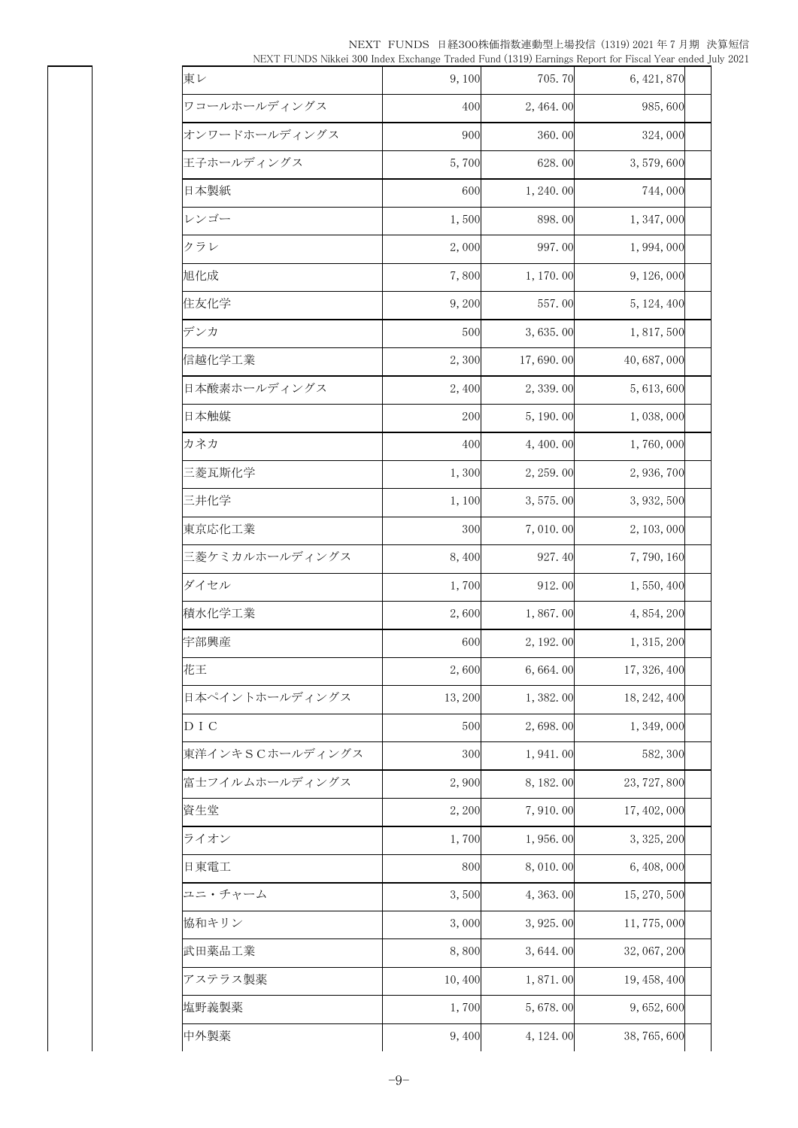|  | NEXT FUNDS 日経300株価指数連動型上場投信 (1319) 2021 年 7 月期 決算短信                                                     |  |
|--|---------------------------------------------------------------------------------------------------------|--|
|  | NEXT FUNDS Nikkei 300 Index Exchange Traded Fund (1319) Earnings Report for Fiscal Year ended July 2021 |  |

| 東レ              | 9,100  | 705.70     | 6, 421, 870  |  |
|-----------------|--------|------------|--------------|--|
| ワコールホールディングス    | 400    | 2, 464.00  | 985,600      |  |
| オンワードホールディングス   | 900    | 360.00     | 324,000      |  |
| 王子ホールディングス      | 5,700  | 628.00     | 3,579,600    |  |
| 日本製紙            | 600    | 1, 240.00  | 744,000      |  |
| レンゴー            | 1,500  | 898.00     | 1, 347, 000  |  |
| クラレ             | 2,000  | 997.00     | 1,994,000    |  |
| 旭化成             | 7,800  | 1, 170.00  | 9, 126, 000  |  |
| 住友化学            | 9,200  | 557.00     | 5, 124, 400  |  |
| デンカ             | 500    | 3,635.00   | 1, 817, 500  |  |
| 信越化学工業          | 2,300  | 17,690.00  | 40,687,000   |  |
| 日本酸素ホールディングス    | 2,400  | 2,339.00   | 5,613,600    |  |
| 日本触媒            | 200    | 5, 190.00  | 1,038,000    |  |
| カネカ             | 400    | 4,400.00   | 1,760,000    |  |
| 三菱瓦斯化学          | 1,300  | 2, 259.00  | 2,936,700    |  |
| 三井化学            | 1,100  | 3, 575.00  | 3, 932, 500  |  |
| 東京応化工業          | 300    | 7,010.00   | 2, 103, 000  |  |
| 三菱ケミカルホールディングス  | 8,400  | 927.40     | 7,790,160    |  |
| ダイセル            | 1,700  | 912.00     | 1, 550, 400  |  |
| 積水化学工業          | 2,600  | 1,867.00   | 4, 854, 200  |  |
| 宇部興産            | 600    | 2, 192.00  | 1, 315, 200  |  |
| 花王              | 2,600  | 6,664.00   | 17, 326, 400 |  |
| 日本ペイントホールディングス  | 13,200 | 1,382.00   | 18, 242, 400 |  |
| D I C           | 500    | 2,698.00   | 1, 349, 000  |  |
| 東洋インキSCホールディングス | 300    | 1, 941.00  | 582, 300     |  |
| 富士フイルムホールディングス  | 2,900  | 8, 182.00  | 23, 727, 800 |  |
| 資生堂             | 2,200  | 7,910.00   | 17, 402, 000 |  |
| ライオン            | 1,700  | 1,956.00   | 3, 325, 200  |  |
| 日東電工            | 800    | 8,010.00   | 6, 408, 000  |  |
| ユニ・チャーム         | 3,500  | 4, 363.00  | 15, 270, 500 |  |
| 協和キリン           | 3,000  | 3, 925.00  | 11,775,000   |  |
| 武田薬品工業          | 8,800  | 3,644.00   | 32, 067, 200 |  |
| アステラス製薬         | 10,400 | 1,871.00   | 19, 458, 400 |  |
| 塩野義製薬           | 1,700  | 5,678.00   | 9, 652, 600  |  |
| 中外製薬            | 9,400  | 4, 124. 00 | 38, 765, 600 |  |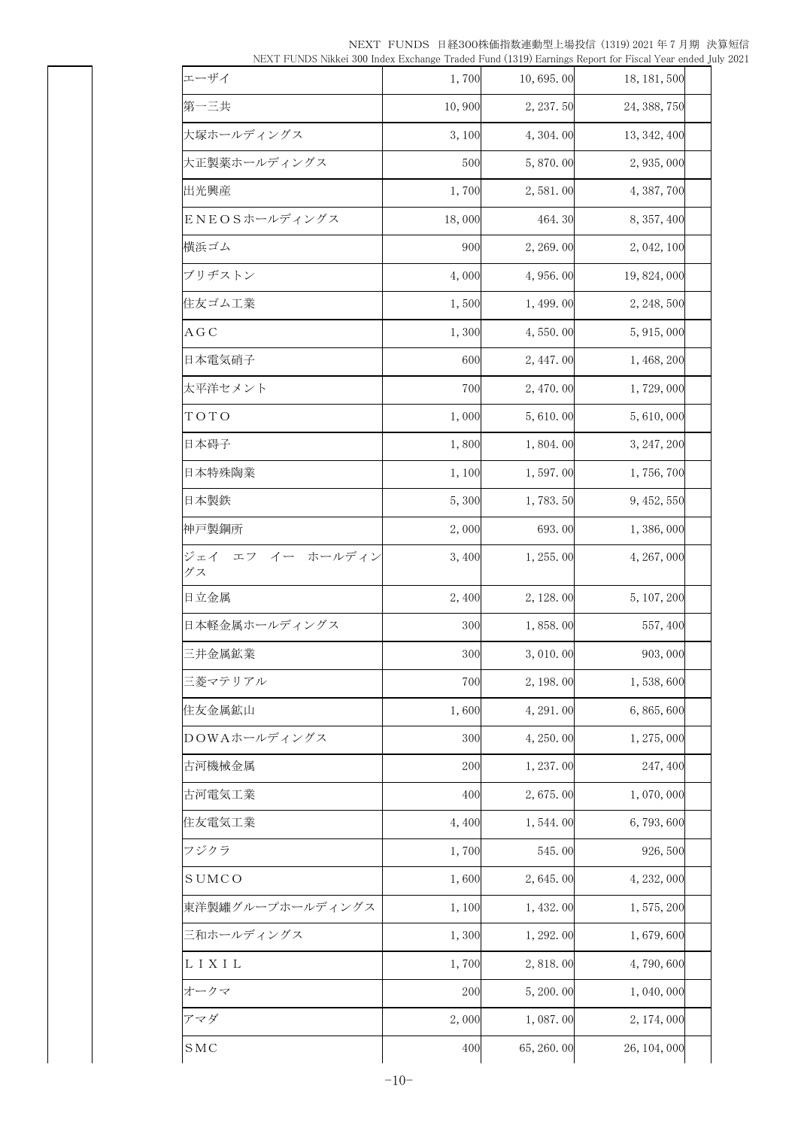| in the complete that the material contract the contract of the contract of the contract of the contract of the |        |            |              |  |
|----------------------------------------------------------------------------------------------------------------|--------|------------|--------------|--|
| エーザイ                                                                                                           | 1,700  | 10,695.00  | 18, 181, 500 |  |
| 第一三共                                                                                                           | 10,900 | 2, 237.50  | 24, 388, 750 |  |
| 大塚ホールディングス                                                                                                     | 3,100  | 4, 304. 00 | 13, 342, 400 |  |
| 大正製薬ホールディングス                                                                                                   | 500    | 5,870.00   | 2, 935, 000  |  |
| 出光興産                                                                                                           | 1,700  | 2,581.00   | 4, 387, 700  |  |
| ENEOSホールディングス                                                                                                  | 18,000 | 464.30     | 8, 357, 400  |  |
| 横浜ゴム                                                                                                           | 900    | 2, 269.00  | 2, 042, 100  |  |
| ブリヂストン                                                                                                         | 4,000  | 4, 956. 00 | 19, 824, 000 |  |
| 住友ゴム工業                                                                                                         | 1,500  | 1, 499.00  | 2, 248, 500  |  |
| A G C                                                                                                          | 1,300  | 4,550.00   | 5, 915, 000  |  |
| 日本電気硝子                                                                                                         | 600    | 2, 447.00  | 1, 468, 200  |  |
| 太平洋セメント                                                                                                        | 700    | 2, 470.00  | 1,729,000    |  |
| TOTO                                                                                                           | 1,000  | 5,610.00   | 5,610,000    |  |
| 日本碍子                                                                                                           | 1,800  | 1,804.00   | 3, 247, 200  |  |
| 日本特殊陶業                                                                                                         | 1,100  | 1,597.00   | 1,756,700    |  |
| 日本製鉄                                                                                                           | 5,300  | 1,783.50   | 9, 452, 550  |  |
| 神戸製鋼所                                                                                                          | 2,000  | 693.00     | 1,386,000    |  |
| ジェイ エフ イー ホールディン<br>グス                                                                                         | 3,400  | 1, 255.00  | 4, 267, 000  |  |
| 日立金属                                                                                                           | 2,400  | 2, 128.00  | 5, 107, 200  |  |
| 日本軽金属ホールディングス                                                                                                  | 300    | 1,858.00   | 557, 400     |  |
| 三井金属鉱業                                                                                                         | 300    | 3,010.00   | 903,000      |  |
| 三菱マテリアル                                                                                                        | 700    | 2, 198.00  | 1,538,600    |  |
| 住友金属鉱山                                                                                                         | 1,600  | 4, 291.00  | 6,865,600    |  |
| DOWAホールディングス                                                                                                   | 300    | 4, 250.00  | 1, 275, 000  |  |
| 古河機械金属                                                                                                         | 200    | 1, 237.00  | 247, 400     |  |
| 古河電気工業                                                                                                         | 400    | 2,675.00   | 1,070,000    |  |
| 住友電気工業                                                                                                         | 4,400  | 1,544.00   | 6,793,600    |  |
| フジクラ                                                                                                           | 1,700  | 545.00     | 926, 500     |  |
| <b>SUMCO</b>                                                                                                   | 1,600  | 2,645.00   | 4, 232, 000  |  |
| 東洋製罐グループホールディングス                                                                                               | 1,100  | 1, 432.00  | 1, 575, 200  |  |
| 三和ホールディングス                                                                                                     | 1,300  | 1, 292.00  | 1,679,600    |  |
| L I X I L                                                                                                      | 1,700  | 2,818.00   | 4,790,600    |  |
|                                                                                                                |        | 5, 200.00  | 1,040,000    |  |
| オークマ                                                                                                           | 200    |            |              |  |
| アマダ                                                                                                            | 2,000  | 1,087.00   | 2, 174, 000  |  |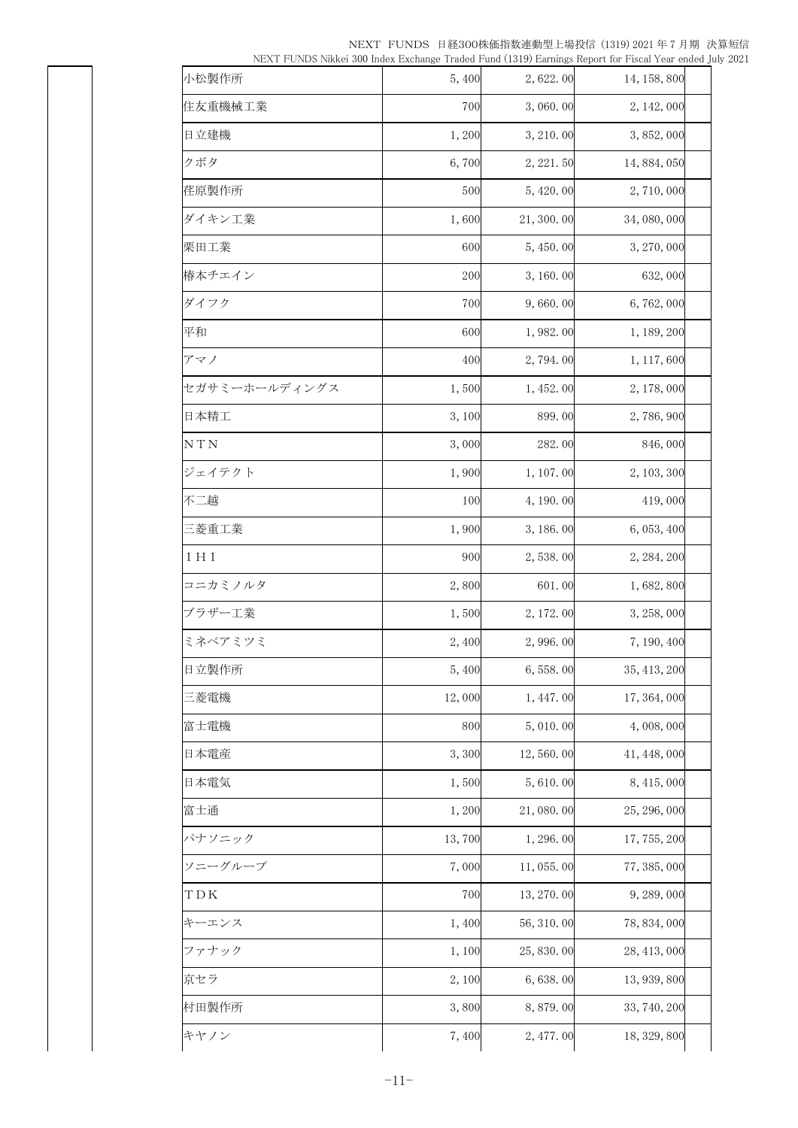|  | NEXT FUNDS 日経300株価指数連動型上場投信 (1319) 2021 年 7 月期 決算短信                                                     |  |
|--|---------------------------------------------------------------------------------------------------------|--|
|  | NEXT FUNDS Nikkei 300 Index Exchange Traded Fund (1319) Earnings Report for Fiscal Year ended July 2021 |  |

| 小松製作所         | 5,400  | 2,622.00   | 14, 158, 800 |  |
|---------------|--------|------------|--------------|--|
| 住友重機械工業       | 700    | 3,060.00   | 2, 142, 000  |  |
| 日立建機          | 1,200  | 3, 210.00  | 3, 852, 000  |  |
| クボタ           | 6,700  | 2, 221.50  | 14, 884, 050 |  |
| 荏原製作所         | 500    | 5, 420.00  | 2,710,000    |  |
| ダイキン工業        | 1,600  | 21, 300.00 | 34, 080, 000 |  |
| 栗田工業          | 600    | 5, 450.00  | 3, 270, 000  |  |
| 椿本チエイン        | 200    | 3, 160.00  | 632,000      |  |
| ダイフク          | 700    | 9,660.00   | 6,762,000    |  |
| 平和            | 600    | 1,982.00   | 1, 189, 200  |  |
| アマノ           | 400    | 2,794.00   | 1, 117, 600  |  |
| セガサミーホールディングス | 1,500  | 1, 452.00  | 2, 178, 000  |  |
| 日本精工          | 3,100  | 899.00     | 2,786,900    |  |
| N T N         | 3,000  | 282.00     | 846,000      |  |
| ジェイテクト        | 1,900  | 1, 107.00  | 2, 103, 300  |  |
| 不二越           | 100    | 4, 190. 00 | 419,000      |  |
| 三菱重工業         | 1,900  | 3, 186. 00 | 6, 053, 400  |  |
| I H I         | 900    | 2,538.00   | 2, 284, 200  |  |
| コニカミノルタ       | 2,800  | 601.00     | 1,682,800    |  |
| ブラザー工業        | 1,500  | 2, 172.00  | 3, 258, 000  |  |
| ミネベアミツミ       | 2,400  | 2,996.00   | 7, 190, 400  |  |
| 日立製作所         | 5,400  | 6,558.00   | 35, 413, 200 |  |
| 三菱電機          | 12,000 | 1, 447.00  | 17, 364, 000 |  |
| 富士電機          | 800    | 5, 010.00  | 4,008,000    |  |
| 日本電産          | 3,300  | 12,560.00  | 41, 448, 000 |  |
| 日本電気          | 1,500  | 5,610.00   | 8, 415, 000  |  |
| 富士通           | 1,200  | 21,080.00  | 25, 296, 000 |  |
| パナソニック        | 13,700 | 1, 296. 00 | 17, 755, 200 |  |
| ソニーグループ       | 7,000  | 11, 055.00 | 77, 385, 000 |  |
| TDK           | 700    | 13, 270.00 | 9, 289, 000  |  |
| キーエンス         | 1,400  | 56, 310.00 | 78, 834, 000 |  |
| ファナック         | 1,100  | 25, 830.00 | 28, 413, 000 |  |
| 京セラ           | 2,100  | 6,638.00   | 13, 939, 800 |  |
| 村田製作所         | 3,800  | 8,879.00   | 33, 740, 200 |  |
| キヤノン          | 7,400  | 2, 477.00  | 18, 329, 800 |  |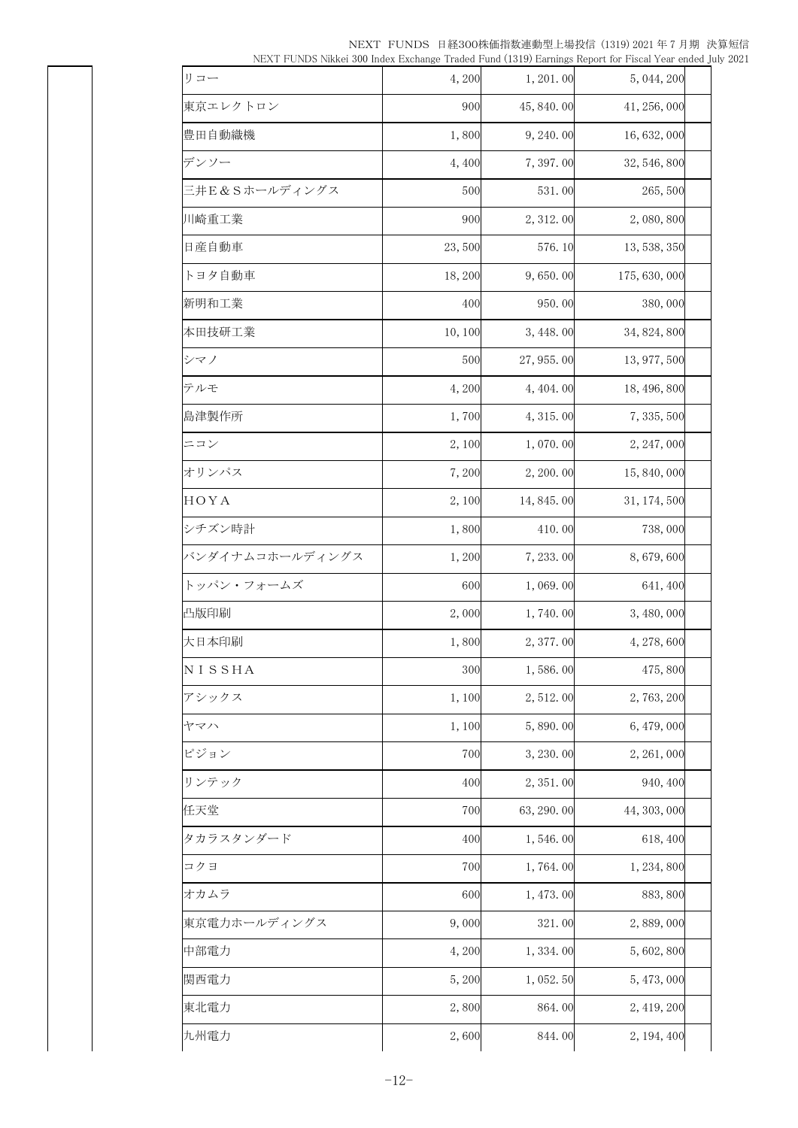| $10271$ T $0100$ Minited 600 match Extending C Tradition Fund (1019) Earlings Report for Thouar Fear ended J |        |            |               |  |
|--------------------------------------------------------------------------------------------------------------|--------|------------|---------------|--|
| リコー                                                                                                          | 4,200  | 1, 201.00  | 5, 044, 200   |  |
| 東京エレクトロン                                                                                                     | 900    | 45, 840.00 | 41, 256, 000  |  |
| 豊田自動織機                                                                                                       | 1,800  | 9, 240.00  | 16, 632, 000  |  |
| デンソー                                                                                                         | 4,400  | 7,397.00   | 32, 546, 800  |  |
| 三井E&Sホールディングス                                                                                                | 500    | 531.00     | 265,500       |  |
| 川崎重工業                                                                                                        | 900    | 2, 312.00  | 2,080,800     |  |
| 日産自動車                                                                                                        | 23,500 | 576.10     | 13, 538, 350  |  |
| トヨタ自動車                                                                                                       | 18,200 | 9,650.00   | 175, 630, 000 |  |
| 新明和工業                                                                                                        | 400    | 950.00     | 380,000       |  |
| 本田技研工業                                                                                                       | 10,100 | 3, 448.00  | 34, 824, 800  |  |
| シマノ                                                                                                          | 500    | 27, 955.00 | 13, 977, 500  |  |
| テルモ                                                                                                          | 4,200  | 4, 404. 00 | 18, 496, 800  |  |
| 島津製作所                                                                                                        | 1,700  | 4, 315.00  | 7, 335, 500   |  |
| ニコン                                                                                                          | 2,100  | 1,070.00   | 2, 247, 000   |  |
| オリンパス                                                                                                        | 7,200  | 2, 200.00  | 15, 840, 000  |  |
| HOYA                                                                                                         | 2,100  | 14, 845.00 | 31, 174, 500  |  |
| シチズン時計                                                                                                       | 1,800  | 410.00     | 738,000       |  |
| バンダイナムコホールディングス                                                                                              | 1,200  | 7, 233.00  | 8,679,600     |  |
| トッパン・フォームズ                                                                                                   | 600    | 1,069.00   | 641, 400      |  |
| 凸版印刷                                                                                                         | 2,000  | 1,740.00   | 3, 480, 000   |  |
| 大日本印刷                                                                                                        | 1,800  | 2, 377.00  | 4, 278, 600   |  |
| NISSHA                                                                                                       | 300    | 1,586.00   | 475,800       |  |
| アシックス                                                                                                        | 1,100  | 2,512.00   | 2,763,200     |  |
| ヤマハ                                                                                                          | 1,100  | 5,890.00   | 6, 479, 000   |  |
| ピジョン                                                                                                         | 700    | 3, 230.00  | 2, 261, 000   |  |
| リンテック                                                                                                        | 400    | 2, 351.00  | 940, 400      |  |
| 任天堂                                                                                                          | 700    | 63, 290.00 | 44, 303, 000  |  |
| タカラスタンダード                                                                                                    | 400    | 1,546.00   | 618, 400      |  |
| コクヨ                                                                                                          | 700    | 1,764.00   | 1, 234, 800   |  |
| オカムラ                                                                                                         | 600    | 1, 473.00  | 883, 800      |  |
| 東京電力ホールディングス                                                                                                 | 9,000  | 321.00     | 2,889,000     |  |
| 中部電力                                                                                                         | 4,200  | 1,334.00   | 5,602,800     |  |
| 関西電力                                                                                                         | 5,200  | 1,052.50   | 5, 473, 000   |  |
| 東北電力                                                                                                         | 2,800  | 864.00     | 2, 419, 200   |  |
| 九州電力                                                                                                         | 2,600  | 844.00     | 2, 194, 400   |  |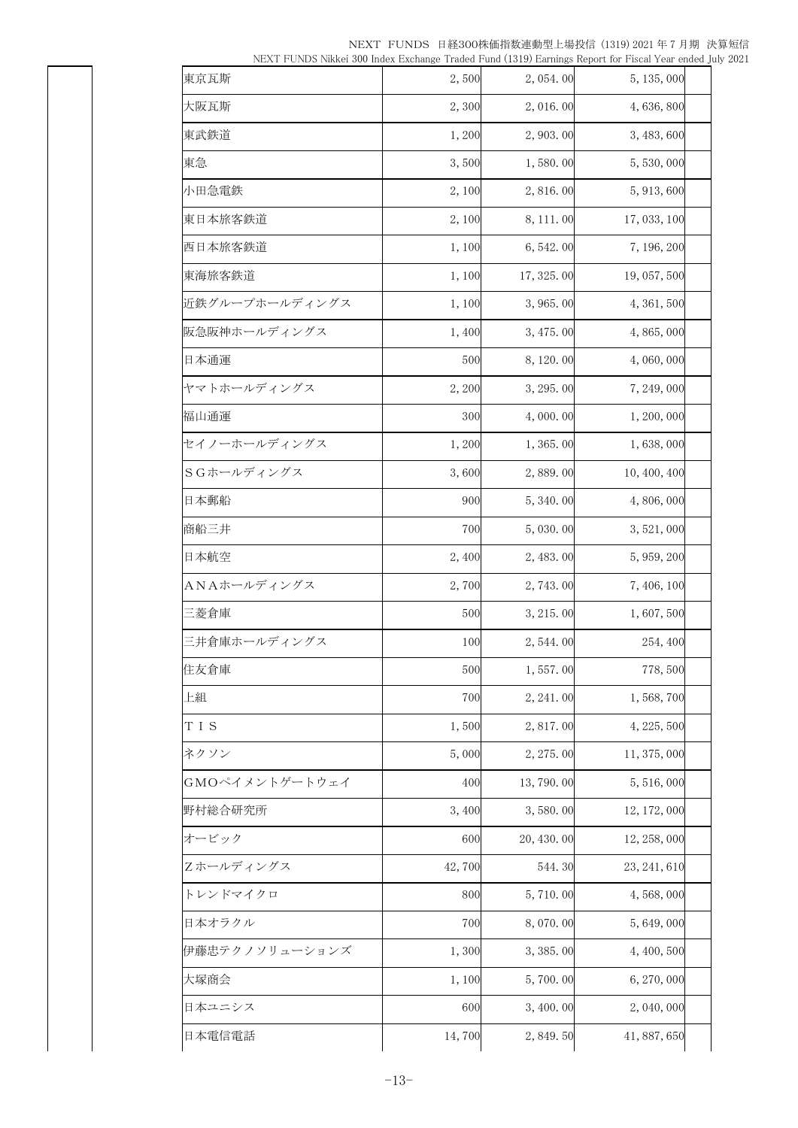| 東京瓦斯           | 2,500  | 2,054.00   | 5, 135, 000  |
|----------------|--------|------------|--------------|
| 大阪瓦斯           | 2,300  | 2,016.00   | 4,636,800    |
| 東武鉄道           | 1,200  | 2, 903.00  | 3, 483, 600  |
| 東急             | 3,500  | 1,580.00   | 5,530,000    |
| 小田急電鉄          | 2,100  | 2,816.00   | 5, 913, 600  |
| 東日本旅客鉄道        | 2,100  | 8, 111.00  | 17, 033, 100 |
| 西日本旅客鉄道        | 1,100  | 6, 542.00  | 7, 196, 200  |
| 東海旅客鉄道         | 1,100  | 17, 325.00 | 19, 057, 500 |
| 近鉄グループホールディングス | 1,100  | 3,965.00   | 4, 361, 500  |
| 阪急阪神ホールディングス   | 1,400  | 3, 475.00  | 4,865,000    |
| 日本通運           | 500    | 8, 120.00  | 4,060,000    |
| ヤマトホールディングス    | 2,200  | 3, 295.00  | 7, 249, 000  |
| 福山通運           | 300    | 4,000.00   | 1, 200, 000  |
| セイノーホールディングス   | 1,200  | 1,365.00   | 1,638,000    |
| SGホールディングス     | 3,600  | 2,889.00   | 10, 400, 400 |
| 日本郵船           | 900    | 5, 340.00  | 4,806,000    |
| 商船三井           | 700    | 5,030.00   | 3, 521, 000  |
| 日本航空           | 2,400  | 2, 483.00  | 5, 959, 200  |
| ANAホールディングス    | 2,700  | 2,743.00   | 7,406,100    |
| 三菱倉庫           | 500    | 3, 215.00  | 1,607,500    |
| 三井倉庫ホールディングス   | 100    | 2, 544.00  | 254, 400     |
| 住友倉庫           | 500    | 1,557.00   | 778,500      |
| 上組             | 700    | 2, 241.00  | 1, 568, 700  |
| TIS            | 1,500  | 2,817.00   | 4, 225, 500  |
| ネクソン           | 5,000  | 2, 275, 00 | 11, 375, 000 |
| GMOペイメントゲートウェイ | 400    | 13, 790.00 | 5, 516, 000  |
| 野村総合研究所        | 3,400  | 3,580.00   | 12, 172, 000 |
| オービック          | 600    | 20, 430.00 | 12, 258, 000 |
| Zホールディングス      | 42,700 | 544.30     | 23, 241, 610 |
| トレンドマイクロ       | 800    | 5,710.00   | 4, 568, 000  |
| 日本オラクル         | 700    | 8,070.00   | 5,649,000    |
| 伊藤忠テクノソリューションズ | 1,300  | 3, 385.00  | 4, 400, 500  |
| 大塚商会           | 1,100  | 5,700.00   | 6, 270, 000  |
| 日本ユニシス         | 600    | 3, 400.00  | 2, 040, 000  |
| 日本電信電話         | 14,700 | 2, 849. 50 | 41, 887, 650 |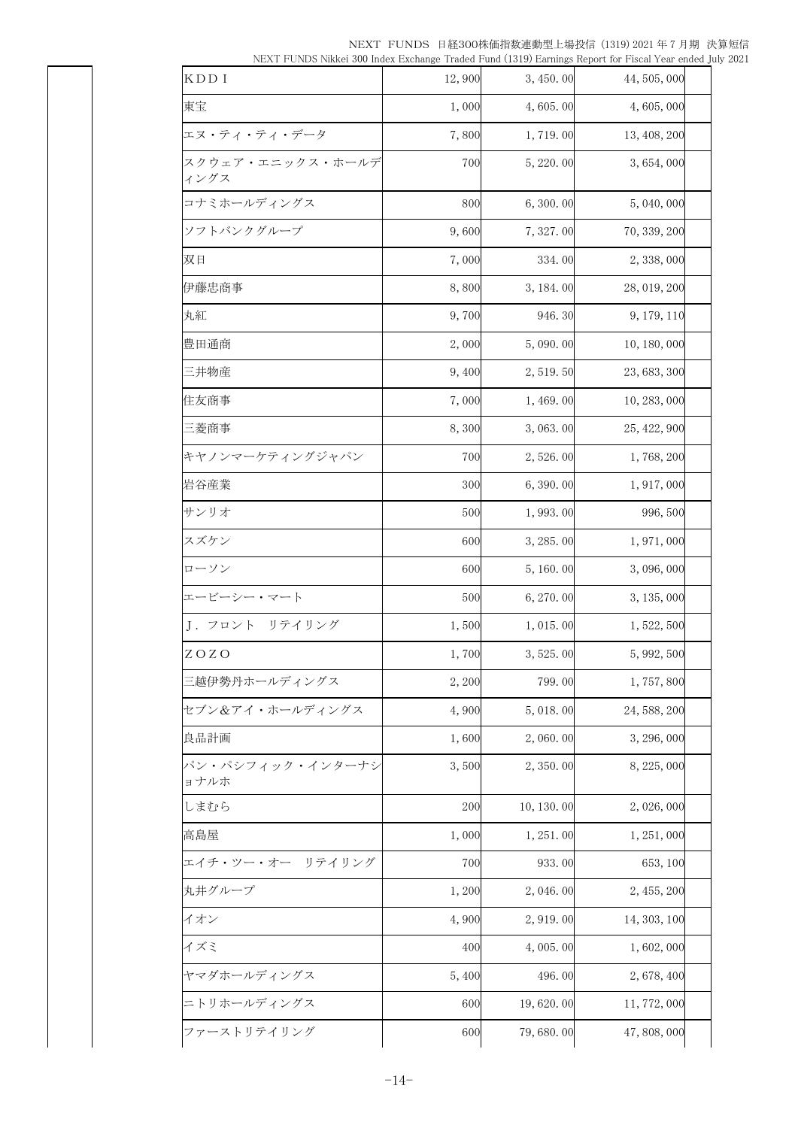NEXT FUNDS 日経300株価指数連動型上場投信 (1319) 2021 年 7 月期 決算短信 NEXT FUNDS Nikkei 300 Index Exchange Traded Fund (1319) Earnings Report for Fiscal Year ended July 2021

|                          |        |             | Turry L. O. Woo Tunnel 600 much Enchange Tradea Pana (1019) Barnings Report for Fiscal Tear Chuca Ji |  |
|--------------------------|--------|-------------|------------------------------------------------------------------------------------------------------|--|
| KDD I                    | 12,900 | 3, 450.00   | 44, 505, 000                                                                                         |  |
| 東宝                       | 1,000  | 4,605.00    | 4,605,000                                                                                            |  |
| エヌ・ティ・ティ・データ             | 7,800  | 1,719.00    | 13, 408, 200                                                                                         |  |
| スクウェア・エニックス・ホールデ<br>ィングス | 700    | 5, 220.00   | 3,654,000                                                                                            |  |
| コナミホールディングス              | 800    | 6,300.00    | 5,040,000                                                                                            |  |
| ソフトバンクグループ               | 9,600  | 7, 327.00   | 70, 339, 200                                                                                         |  |
| 双日                       | 7,000  | 334.00      | 2, 338, 000                                                                                          |  |
| 伊藤忠商事                    | 8,800  | 3, 184. 00  | 28, 019, 200                                                                                         |  |
| 丸紅                       | 9,700  | 946.30      | 9, 179, 110                                                                                          |  |
| 豊田通商                     | 2,000  | 5,090.00    | 10, 180, 000                                                                                         |  |
| 三井物産                     | 9,400  | 2, 519.50   | 23, 683, 300                                                                                         |  |
| 住友商事                     | 7,000  | 1,469.00    | 10, 283, 000                                                                                         |  |
| 三菱商事                     | 8,300  | 3,063.00    | 25, 422, 900                                                                                         |  |
| キヤノンマーケティングジャパン          | 700    | 2,526.00    | 1,768,200                                                                                            |  |
| 岩谷産業                     | 300    | 6,390.00    | 1, 917, 000                                                                                          |  |
| サンリオ                     | 500    | 1,993.00    | 996, 500                                                                                             |  |
| スズケン                     | 600    | 3, 285.00   | 1, 971, 000                                                                                          |  |
| ローソン                     | 600    | 5, 160.00   | 3,096,000                                                                                            |  |
| エービーシー・マート               | 500    | 6, 270.00   | 3, 135, 000                                                                                          |  |
| J. フロント リテイリング           | 1,500  | 1,015.00    | 1, 522, 500                                                                                          |  |
| ZOZO                     | 1,700  | 3, 525.00   | 5, 992, 500                                                                                          |  |
| 三越伊勢丹ホールディングス            | 2,200  | 799.00      | 1,757,800                                                                                            |  |
| セブン&アイ・ホールディングス          | 4,900  | 5,018.00    | 24, 588, 200                                                                                         |  |
| 良品計画                     | 1,600  | 2,060.00    | 3, 296, 000                                                                                          |  |
| パン・パシフィック・インターナシ<br>ョナルホ | 3,500  | 2, 350.00   | 8, 225, 000                                                                                          |  |
| しまむら                     | 200    | 10, 130, 00 | 2,026,000                                                                                            |  |
| 高島屋                      | 1,000  | 1, 251, 00  | 1, 251, 000                                                                                          |  |
| エイチ・ツー・オー リテイリング         | 700    | 933.00      | 653, 100                                                                                             |  |
| 丸井グループ                   | 1,200  | 2,046.00    | 2, 455, 200                                                                                          |  |
| イオン                      | 4,900  | 2, 919.00   | 14, 303, 100                                                                                         |  |
| イズミ                      | 400    | 4,005.00    | 1,602,000                                                                                            |  |
| ヤマダホールディングス              | 5,400  | 496.00      | 2,678,400                                                                                            |  |
| ニトリホールディングス              | 600    | 19,620.00   | 11, 772, 000                                                                                         |  |
| ファーストリテイリング              | 600    | 79,680.00   | 47, 808, 000                                                                                         |  |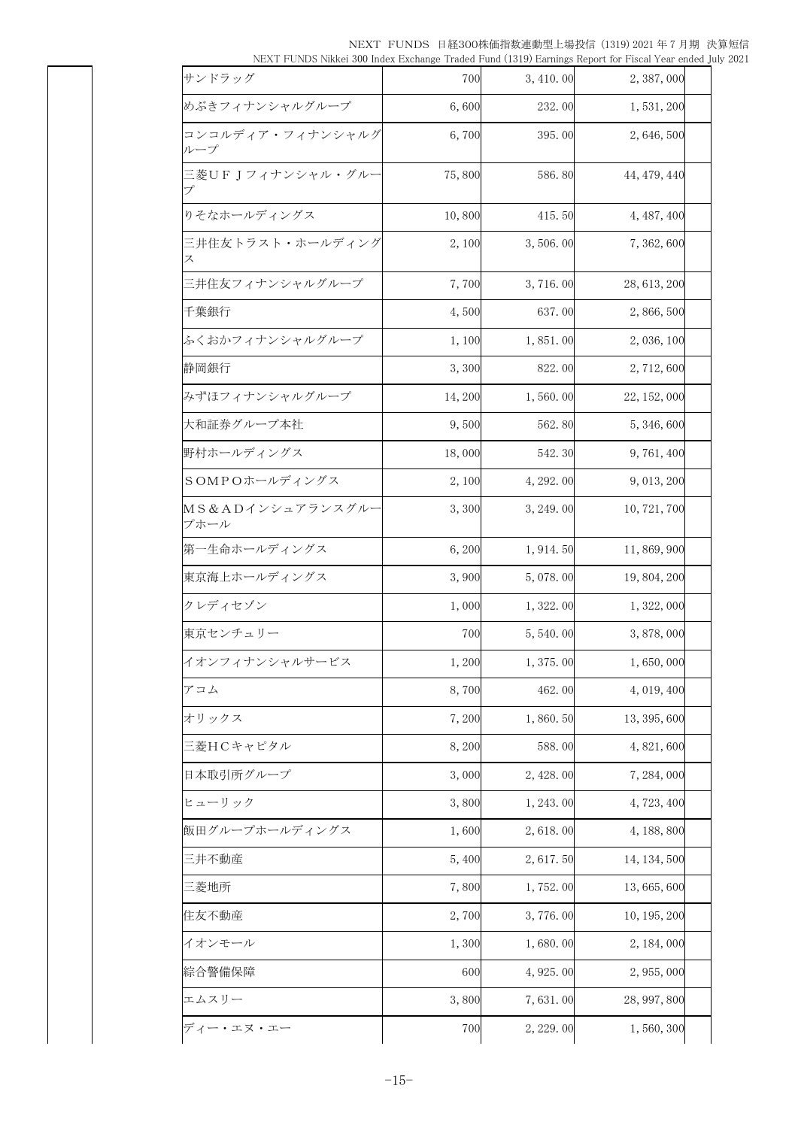NEXT FUNDS 日経300株価指数連動型上場投信 (1319) 2021 年 7 月期 決算短信 NEXT FUNDS Nikkei 300 Index Exchange Traded Fund (1319) Earnings Report for Fiscal Year ended July 2021

| . DAY I ONDO IMINGI 000 INGO DAGNINGO TIBBO I BIB (1019) DRIIIIIKS NGOTETOI I ISOBI TOBI CHICB JBIY A |        |            |              |  |
|-------------------------------------------------------------------------------------------------------|--------|------------|--------------|--|
| サンドラッグ                                                                                                | 700    | 3, 410.00  | 2, 387, 000  |  |
| めぶきフィナンシャルグループ                                                                                        | 6,600  | 232.00     | 1, 531, 200  |  |
| コンコルディア・フィナンシャルグ<br>ループ                                                                               | 6,700  | 395.00     | 2,646,500    |  |
| 三菱UFJフィナンシャル・グルー<br>プ                                                                                 | 75,800 | 586.80     | 44, 479, 440 |  |
| りそなホールディングス                                                                                           | 10,800 | 415.50     | 4, 487, 400  |  |
| 三井住友トラスト・ホールディング<br>ス                                                                                 | 2,100  | 3,506.00   | 7, 362, 600  |  |
| 三井住友フィナンシャルグループ                                                                                       | 7,700  | 3,716.00   | 28, 613, 200 |  |
| 千葉銀行                                                                                                  | 4,500  | 637.00     | 2,866,500    |  |
| ふくおかフィナンシャルグループ                                                                                       | 1,100  | 1,851.00   | 2, 036, 100  |  |
| 静岡銀行                                                                                                  | 3,300  | 822.00     | 2, 712, 600  |  |
| みずほフィナンシャルグループ                                                                                        | 14,200 | 1,560.00   | 22, 152, 000 |  |
| 大和証券グループ本社                                                                                            | 9,500  | 562.80     | 5, 346, 600  |  |
| 野村ホールディングス                                                                                            | 18,000 | 542.30     | 9, 761, 400  |  |
| SOMPOホールディングス                                                                                         | 2,100  | 4, 292, 00 | 9, 013, 200  |  |
| MS&ADインシュアランスグルー<br>プホール                                                                              | 3,300  | 3, 249.00  | 10, 721, 700 |  |
| 第一生命ホールディングス                                                                                          | 6,200  | 1, 914. 50 | 11,869,900   |  |
| 東京海上ホールディングス                                                                                          | 3,900  | 5,078.00   | 19, 804, 200 |  |
| クレディセゾン                                                                                               | 1,000  | 1,322.00   | 1, 322, 000  |  |
| 東京センチュリー                                                                                              | 700    | 5,540.00   | 3, 878, 000  |  |
| イオンフィナンシャルサービス                                                                                        | 1,200  | 1,375.00   | 1,650,000    |  |
| アコム                                                                                                   | 8,700  | 462.00     | 4, 019, 400  |  |
| オリックス                                                                                                 | 7,200  | 1,860.50   | 13, 395, 600 |  |
| 三菱HCキャピタル                                                                                             | 8,200  | 588.00     | 4, 821, 600  |  |
| 日本取引所グループ                                                                                             | 3,000  | 2, 428.00  | 7, 284, 000  |  |
| ヒューリック                                                                                                | 3,800  | 1, 243.00  | 4,723,400    |  |
| 飯田グループホールディングス                                                                                        | 1,600  | 2,618.00   | 4, 188, 800  |  |
| 三井不動産                                                                                                 | 5,400  | 2, 617.50  | 14, 134, 500 |  |
| 三菱地所                                                                                                  | 7,800  | 1,752.00   | 13, 665, 600 |  |
| 住友不動産                                                                                                 | 2,700  | 3,776.00   | 10, 195, 200 |  |
| イオンモール                                                                                                | 1,300  | 1,680.00   | 2, 184, 000  |  |
| 綜合警備保障                                                                                                | 600    | 4, 925.00  | 2, 955, 000  |  |
| エムスリー                                                                                                 | 3,800  | 7,631.00   | 28, 997, 800 |  |
| ディー・エヌ・エー                                                                                             | 700    | 2, 229.00  | 1,560,300    |  |
|                                                                                                       |        |            |              |  |